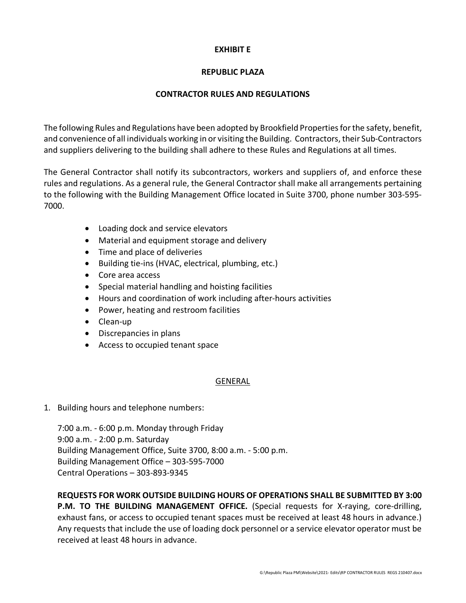## **EXHIBIT E**

## **REPUBLIC PLAZA**

### **CONTRACTOR RULES AND REGULATIONS**

The following Rules and Regulations have been adopted by Brookfield Properties for the safety, benefit, and convenience of all individuals working in or visiting the Building. Contractors, their Sub-Contractors and suppliers delivering to the building shall adhere to these Rules and Regulations at all times.

The General Contractor shall notify its subcontractors, workers and suppliers of, and enforce these rules and regulations. As a general rule, the General Contractor shall make all arrangements pertaining to the following with the Building Management Office located in Suite 3700, phone number 303-595- 7000.

- Loading dock and service elevators
- Material and equipment storage and delivery
- Time and place of deliveries
- Building tie-ins (HVAC, electrical, plumbing, etc.)
- Core area access
- Special material handling and hoisting facilities
- Hours and coordination of work including after-hours activities
- Power, heating and restroom facilities
- Clean-up
- Discrepancies in plans
- Access to occupied tenant space

### GENERAL

1. Building hours and telephone numbers:

7:00 a.m. - 6:00 p.m. Monday through Friday 9:00 a.m. - 2:00 p.m. Saturday Building Management Office, Suite 3700, 8:00 a.m. - 5:00 p.m. Building Management Office – 303-595-7000 Central Operations – 303-893-9345

**REQUESTS FOR WORK OUTSIDE BUILDING HOURS OF OPERATIONS SHALL BE SUBMITTED BY 3:00** 

**P.M. TO THE BUILDING MANAGEMENT OFFICE.** (Special requests for X-raying, core-drilling, exhaust fans, or access to occupied tenant spaces must be received at least 48 hours in advance.) Any requests that include the use of loading dock personnel or a service elevator operator must be received at least 48 hours in advance.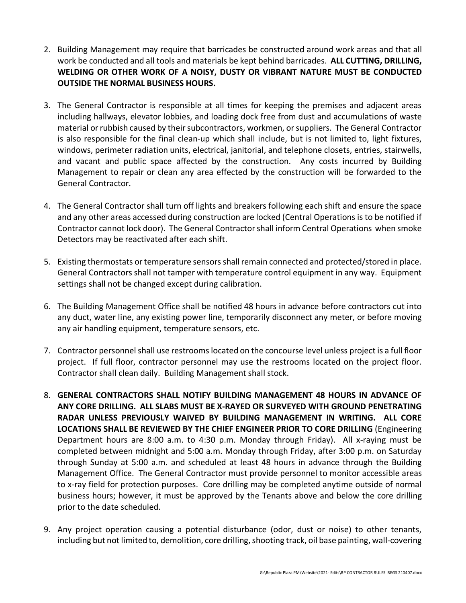- 2. Building Management may require that barricades be constructed around work areas and that all work be conducted and all tools and materials be kept behind barricades. **ALL CUTTING, DRILLING, WELDING OR OTHER WORK OF A NOISY, DUSTY OR VIBRANT NATURE MUST BE CONDUCTED OUTSIDE THE NORMAL BUSINESS HOURS.**
- 3. The General Contractor is responsible at all times for keeping the premises and adjacent areas including hallways, elevator lobbies, and loading dock free from dust and accumulations of waste material or rubbish caused by their subcontractors, workmen, or suppliers. The General Contractor is also responsible for the final clean-up which shall include, but is not limited to, light fixtures, windows, perimeter radiation units, electrical, janitorial, and telephone closets, entries, stairwells, and vacant and public space affected by the construction. Any costs incurred by Building Management to repair or clean any area effected by the construction will be forwarded to the General Contractor.
- 4. The General Contractor shall turn off lights and breakers following each shift and ensure the space and any other areas accessed during construction are locked (Central Operations is to be notified if Contractor cannot lock door). The General Contractor shall inform Central Operations when smoke Detectors may be reactivated after each shift.
- 5. Existing thermostats or temperature sensors shall remain connected and protected/stored in place. General Contractors shall not tamper with temperature control equipment in any way. Equipment settings shall not be changed except during calibration.
- 6. The Building Management Office shall be notified 48 hours in advance before contractors cut into any duct, water line, any existing power line, temporarily disconnect any meter, or before moving any air handling equipment, temperature sensors, etc.
- 7. Contractor personnel shall use restrooms located on the concourse level unless project is a full floor project. If full floor, contractor personnel may use the restrooms located on the project floor. Contractor shall clean daily. Building Management shall stock.
- 8. **GENERAL CONTRACTORS SHALL NOTIFY BUILDING MANAGEMENT 48 HOURS IN ADVANCE OF ANY CORE DRILLING. ALL SLABS MUST BE X-RAYED OR SURVEYED WITH GROUND PENETRATING RADAR UNLESS PREVIOUSLY WAIVED BY BUILDING MANAGEMENT IN WRITING. ALL CORE LOCATIONS SHALL BE REVIEWED BY THE CHIEF ENGINEER PRIOR TO CORE DRILLING** (Engineering Department hours are 8:00 a.m. to 4:30 p.m. Monday through Friday). All x-raying must be completed between midnight and 5:00 a.m. Monday through Friday, after 3:00 p.m. on Saturday through Sunday at 5:00 a.m. and scheduled at least 48 hours in advance through the Building Management Office. The General Contractor must provide personnel to monitor accessible areas to x-ray field for protection purposes. Core drilling may be completed anytime outside of normal business hours; however, it must be approved by the Tenants above and below the core drilling prior to the date scheduled.
- 9. Any project operation causing a potential disturbance (odor, dust or noise) to other tenants, including but not limited to, demolition, core drilling, shooting track, oil base painting, wall-covering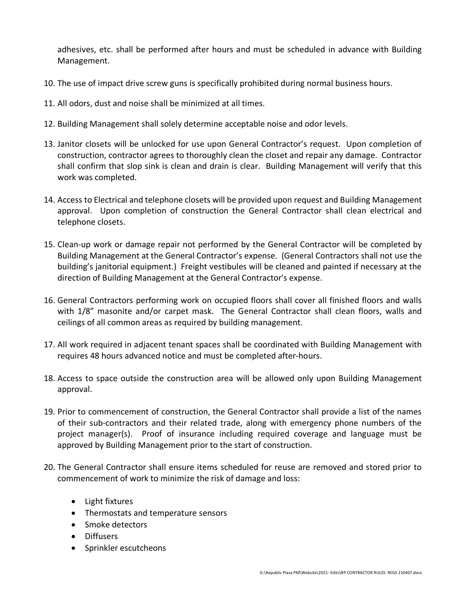adhesives, etc. shall be performed after hours and must be scheduled in advance with Building Management.

- 10. The use of impact drive screw guns is specifically prohibited during normal business hours.
- 11. All odors, dust and noise shall be minimized at all times.
- 12. Building Management shall solely determine acceptable noise and odor levels.
- 13. Janitor closets will be unlocked for use upon General Contractor's request. Upon completion of construction, contractor agrees to thoroughly clean the closet and repair any damage. Contractor shall confirm that slop sink is clean and drain is clear. Building Management will verify that this work was completed.
- 14. Access to Electrical and telephone closets will be provided upon request and Building Management approval. Upon completion of construction the General Contractor shall clean electrical and telephone closets.
- 15. Clean-up work or damage repair not performed by the General Contractor will be completed by Building Management at the General Contractor's expense. (General Contractors shall not use the building's janitorial equipment.) Freight vestibules will be cleaned and painted if necessary at the direction of Building Management at the General Contractor's expense.
- 16. General Contractors performing work on occupied floors shall cover all finished floors and walls with 1/8" masonite and/or carpet mask. The General Contractor shall clean floors, walls and ceilings of all common areas as required by building management.
- 17. All work required in adjacent tenant spaces shall be coordinated with Building Management with requires 48 hours advanced notice and must be completed after-hours.
- 18. Access to space outside the construction area will be allowed only upon Building Management approval.
- 19. Prior to commencement of construction, the General Contractor shall provide a list of the names of their sub-contractors and their related trade, along with emergency phone numbers of the project manager(s). Proof of insurance including required coverage and language must be approved by Building Management prior to the start of construction.
- 20. The General Contractor shall ensure items scheduled for reuse are removed and stored prior to commencement of work to minimize the risk of damage and loss:
	- Light fixtures
	- Thermostats and temperature sensors
	- Smoke detectors
	- Diffusers
	- Sprinkler escutcheons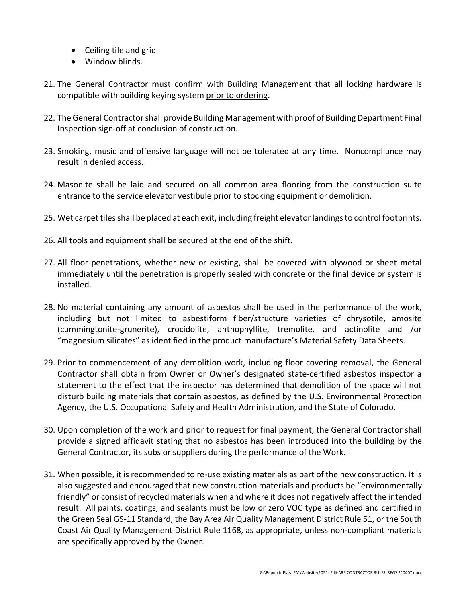- Ceiling tile and grid
- Window blinds.
- 21. The General Contractor must confirm with Building Management that all locking hardware is compatible with building keying system prior to ordering.
- 22. The General Contractor shall provide Building Management with proof of Building Department Final Inspection sign-off at conclusion of construction.
- 23. Smoking, music and offensive language will not be tolerated at any time. Noncompliance may result in denied access.
- 24. Masonite shall be laid and secured on all common area flooring from the construction suite entrance to the service elevator vestibule prior to stocking equipment or demolition.
- 25. Wet carpet tiles shall be placed at each exit, including freight elevator landings to control footprints.
- 26. All tools and equipment shall be secured at the end of the shift.
- 27. All floor penetrations, whether new or existing, shall be covered with plywood or sheet metal immediately until the penetration is properly sealed with concrete or the final device or system is installed.
- 28. No material containing any amount of asbestos shall be used in the performance of the work, including but not limited to asbestiform fiber/structure varieties of chrysotile, amosite (cummingtonite-grunerite), crocidolite, anthophyllite, tremolite, and actinolite and /or "magnesium silicates" as identified in the product manufacture's Material Safety Data Sheets.
- 29. Prior to commencement of any demolition work, including floor covering removal, the General Contractor shall obtain from Owner or Owner's designated state-certified asbestos inspector a statement to the effect that the inspector has determined that demolition of the space will not disturb building materials that contain asbestos, as defined by the U.S. Environmental Protection Agency, the U.S. Occupational Safety and Health Administration, and the State of Colorado.
- 30. Upon completion of the work and prior to request for final payment, the General Contractor shall provide a signed affidavit stating that no asbestos has been introduced into the building by the General Contractor, its subs or suppliers during the performance of the Work.
- 31. When possible, it is recommended to re-use existing materials as part of the new construction. It is also suggested and encouraged that new construction materials and products be "environmentally friendly" or consist of recycled materials when and where it does not negatively affect the intended result. All paints, coatings, and sealants must be low or zero VOC type as defined and certified in the Green Seal GS-11 Standard, the Bay Area Air Quality Management District Rule 51, or the South Coast Air Quality Management District Rule 1168, as appropriate, unless non-compliant materials are specifically approved by the Owner.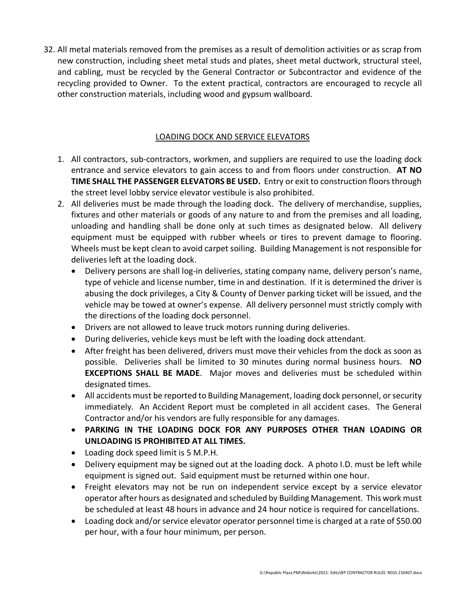32. All metal materials removed from the premises as a result of demolition activities or as scrap from new construction, including sheet metal studs and plates, sheet metal ductwork, structural steel, and cabling, must be recycled by the General Contractor or Subcontractor and evidence of the recycling provided to Owner. To the extent practical, contractors are encouraged to recycle all other construction materials, including wood and gypsum wallboard.

### LOADING DOCK AND SERVICE ELEVATORS

- 1. All contractors, sub-contractors, workmen, and suppliers are required to use the loading dock entrance and service elevators to gain access to and from floors under construction. **AT NO TIME SHALL THE PASSENGER ELEVATORS BE USED.** Entry or exit to construction floors through the street level lobby service elevator vestibule is also prohibited.
- 2. All deliveries must be made through the loading dock. The delivery of merchandise, supplies, fixtures and other materials or goods of any nature to and from the premises and all loading, unloading and handling shall be done only at such times as designated below. All delivery equipment must be equipped with rubber wheels or tires to prevent damage to flooring. Wheels must be kept clean to avoid carpet soiling. Building Management is not responsible for deliveries left at the loading dock.
	- Delivery persons are shall log-in deliveries, stating company name, delivery person's name, type of vehicle and license number, time in and destination. If it is determined the driver is abusing the dock privileges, a City & County of Denver parking ticket will be issued, and the vehicle may be towed at owner's expense. All delivery personnel must strictly comply with the directions of the loading dock personnel.
	- Drivers are not allowed to leave truck motors running during deliveries.
	- During deliveries, vehicle keys must be left with the loading dock attendant.
	- After freight has been delivered, drivers must move their vehicles from the dock as soon as possible. Deliveries shall be limited to 30 minutes during normal business hours. **NO EXCEPTIONS SHALL BE MADE**. Major moves and deliveries must be scheduled within designated times.
	- All accidents must be reported to Building Management, loading dock personnel, or security immediately. An Accident Report must be completed in all accident cases. The General Contractor and/or his vendors are fully responsible for any damages.
	- **PARKING IN THE LOADING DOCK FOR ANY PURPOSES OTHER THAN LOADING OR UNLOADING IS PROHIBITED AT ALL TIMES.**
	- Loading dock speed limit is 5 M.P.H.
	- Delivery equipment may be signed out at the loading dock. A photo I.D. must be left while equipment is signed out. Said equipment must be returned within one hour.
	- Freight elevators may not be run on independent service except by a service elevator operator after hours as designated and scheduled by Building Management. This work must be scheduled at least 48 hours in advance and 24 hour notice is required for cancellations.
	- Loading dock and/or service elevator operator personnel time is charged at a rate of \$50.00 per hour, with a four hour minimum, per person.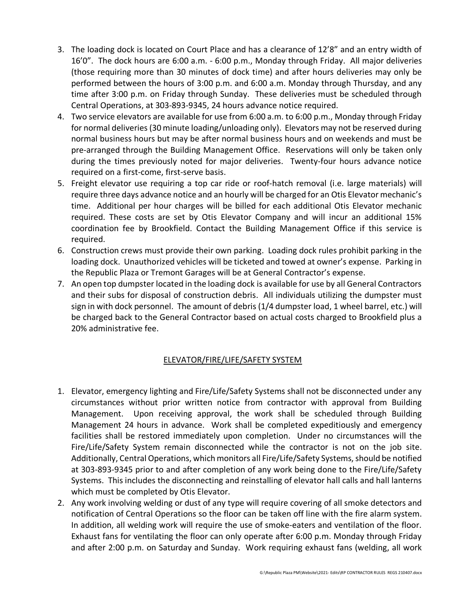- 3. The loading dock is located on Court Place and has a clearance of 12'8" and an entry width of 16'0". The dock hours are 6:00 a.m. - 6:00 p.m., Monday through Friday. All major deliveries (those requiring more than 30 minutes of dock time) and after hours deliveries may only be performed between the hours of 3:00 p.m. and 6:00 a.m. Monday through Thursday, and any time after 3:00 p.m. on Friday through Sunday. These deliveries must be scheduled through Central Operations, at 303-893-9345, 24 hours advance notice required.
- 4. Two service elevators are available for use from 6:00 a.m. to 6:00 p.m., Monday through Friday for normal deliveries (30 minute loading/unloading only). Elevators may not be reserved during normal business hours but may be after normal business hours and on weekends and must be pre-arranged through the Building Management Office. Reservations will only be taken only during the times previously noted for major deliveries. Twenty-four hours advance notice required on a first-come, first-serve basis.
- 5. Freight elevator use requiring a top car ride or roof-hatch removal (i.e. large materials) will require three days advance notice and an hourly will be charged for an Otis Elevator mechanic's time. Additional per hour charges will be billed for each additional Otis Elevator mechanic required. These costs are set by Otis Elevator Company and will incur an additional 15% coordination fee by Brookfield. Contact the Building Management Office if this service is required.
- 6. Construction crews must provide their own parking. Loading dock rules prohibit parking in the loading dock. Unauthorized vehicles will be ticketed and towed at owner's expense. Parking in the Republic Plaza or Tremont Garages will be at General Contractor's expense.
- 7. An open top dumpster located in the loading dock is available for use by all General Contractors and their subs for disposal of construction debris. All individuals utilizing the dumpster must sign in with dock personnel. The amount of debris (1/4 dumpster load, 1 wheel barrel, etc.) will be charged back to the General Contractor based on actual costs charged to Brookfield plus a 20% administrative fee.

# ELEVATOR/FIRE/LIFE/SAFETY SYSTEM

- 1. Elevator, emergency lighting and Fire/Life/Safety Systems shall not be disconnected under any circumstances without prior written notice from contractor with approval from Building Management. Upon receiving approval, the work shall be scheduled through Building Management 24 hours in advance. Work shall be completed expeditiously and emergency facilities shall be restored immediately upon completion. Under no circumstances will the Fire/Life/Safety System remain disconnected while the contractor is not on the job site. Additionally, Central Operations, which monitors all Fire/Life/Safety Systems, should be notified at 303-893-9345 prior to and after completion of any work being done to the Fire/Life/Safety Systems. This includes the disconnecting and reinstalling of elevator hall calls and hall lanterns which must be completed by Otis Elevator.
- 2. Any work involving welding or dust of any type will require covering of all smoke detectors and notification of Central Operations so the floor can be taken off line with the fire alarm system. In addition, all welding work will require the use of smoke-eaters and ventilation of the floor. Exhaust fans for ventilating the floor can only operate after 6:00 p.m. Monday through Friday and after 2:00 p.m. on Saturday and Sunday. Work requiring exhaust fans (welding, all work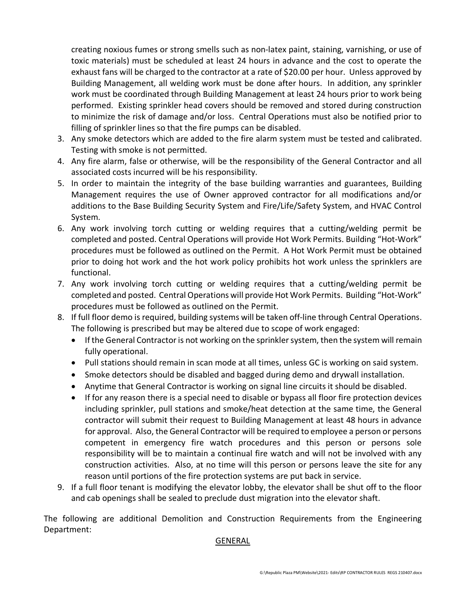creating noxious fumes or strong smells such as non-latex paint, staining, varnishing, or use of toxic materials) must be scheduled at least 24 hours in advance and the cost to operate the exhaust fans will be charged to the contractor at a rate of \$20.00 per hour. Unless approved by Building Management, all welding work must be done after hours. In addition, any sprinkler work must be coordinated through Building Management at least 24 hours prior to work being performed. Existing sprinkler head covers should be removed and stored during construction to minimize the risk of damage and/or loss. Central Operations must also be notified prior to filling of sprinkler lines so that the fire pumps can be disabled.

- 3. Any smoke detectors which are added to the fire alarm system must be tested and calibrated. Testing with smoke is not permitted.
- 4. Any fire alarm, false or otherwise, will be the responsibility of the General Contractor and all associated costs incurred will be his responsibility.
- 5. In order to maintain the integrity of the base building warranties and guarantees, Building Management requires the use of Owner approved contractor for all modifications and/or additions to the Base Building Security System and Fire/Life/Safety System, and HVAC Control System.
- 6. Any work involving torch cutting or welding requires that a cutting/welding permit be completed and posted. Central Operations will provide Hot Work Permits. Building "Hot-Work" procedures must be followed as outlined on the Permit. A Hot Work Permit must be obtained prior to doing hot work and the hot work policy prohibits hot work unless the sprinklers are functional.
- 7. Any work involving torch cutting or welding requires that a cutting/welding permit be completed and posted. Central Operations will provide Hot Work Permits. Building "Hot-Work" procedures must be followed as outlined on the Permit.
- 8. If full floor demo is required, building systems will be taken off-line through Central Operations. The following is prescribed but may be altered due to scope of work engaged:
	- If the General Contractor is not working on the sprinkler system, then the system will remain fully operational.
	- Pull stations should remain in scan mode at all times, unless GC is working on said system.
	- Smoke detectors should be disabled and bagged during demo and drywall installation.
	- Anytime that General Contractor is working on signal line circuits it should be disabled.
	- If for any reason there is a special need to disable or bypass all floor fire protection devices including sprinkler, pull stations and smoke/heat detection at the same time, the General contractor will submit their request to Building Management at least 48 hours in advance for approval. Also, the General Contractor will be required to employee a person or persons competent in emergency fire watch procedures and this person or persons sole responsibility will be to maintain a continual fire watch and will not be involved with any construction activities. Also, at no time will this person or persons leave the site for any reason until portions of the fire protection systems are put back in service.
- 9. If a full floor tenant is modifying the elevator lobby, the elevator shall be shut off to the floor and cab openings shall be sealed to preclude dust migration into the elevator shaft.

The following are additional Demolition and Construction Requirements from the Engineering Department:

### GENERAL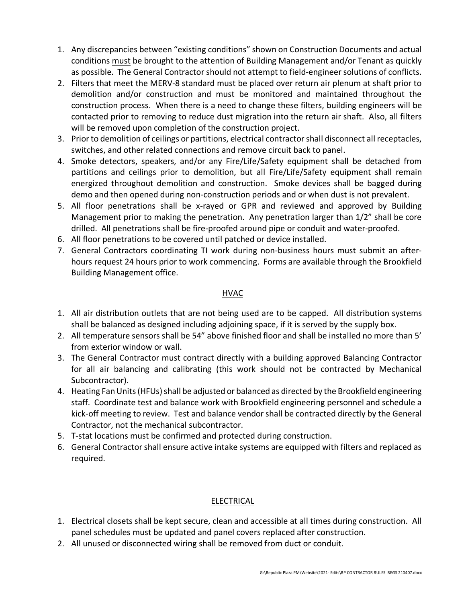- 1. Any discrepancies between "existing conditions" shown on Construction Documents and actual conditions must be brought to the attention of Building Management and/or Tenant as quickly as possible. The General Contractor should not attempt to field-engineer solutions of conflicts.
- 2. Filters that meet the MERV-8 standard must be placed over return air plenum at shaft prior to demolition and/or construction and must be monitored and maintained throughout the construction process. When there is a need to change these filters, building engineers will be contacted prior to removing to reduce dust migration into the return air shaft. Also, all filters will be removed upon completion of the construction project.
- 3. Prior to demolition of ceilings or partitions, electrical contractor shall disconnect all receptacles, switches, and other related connections and remove circuit back to panel.
- 4. Smoke detectors, speakers, and/or any Fire/Life/Safety equipment shall be detached from partitions and ceilings prior to demolition, but all Fire/Life/Safety equipment shall remain energized throughout demolition and construction. Smoke devices shall be bagged during demo and then opened during non-construction periods and or when dust is not prevalent.
- 5. All floor penetrations shall be x-rayed or GPR and reviewed and approved by Building Management prior to making the penetration. Any penetration larger than 1/2" shall be core drilled. All penetrations shall be fire-proofed around pipe or conduit and water-proofed.
- 6. All floor penetrations to be covered until patched or device installed.
- 7. General Contractors coordinating TI work during non-business hours must submit an afterhours request 24 hours prior to work commencing. Forms are available through the Brookfield Building Management office.

# HVAC

- 1. All air distribution outlets that are not being used are to be capped. All distribution systems shall be balanced as designed including adjoining space, if it is served by the supply box.
- 2. All temperature sensors shall be 54" above finished floor and shall be installed no more than 5' from exterior window or wall.
- 3. The General Contractor must contract directly with a building approved Balancing Contractor for all air balancing and calibrating (this work should not be contracted by Mechanical Subcontractor).
- 4. Heating Fan Units (HFUs) shall be adjusted or balanced as directed by the Brookfield engineering staff. Coordinate test and balance work with Brookfield engineering personnel and schedule a kick-off meeting to review. Test and balance vendor shall be contracted directly by the General Contractor, not the mechanical subcontractor.
- 5. T-stat locations must be confirmed and protected during construction.
- 6. General Contractor shall ensure active intake systems are equipped with filters and replaced as required.

# ELECTRICAL

- 1. Electrical closets shall be kept secure, clean and accessible at all times during construction. All panel schedules must be updated and panel covers replaced after construction.
- 2. All unused or disconnected wiring shall be removed from duct or conduit.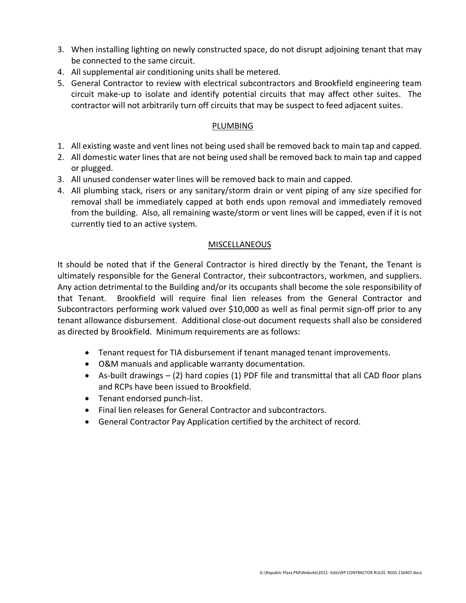- 3. When installing lighting on newly constructed space, do not disrupt adjoining tenant that may be connected to the same circuit.
- 4. All supplemental air conditioning units shall be metered.
- 5. General Contractor to review with electrical subcontractors and Brookfield engineering team circuit make-up to isolate and identify potential circuits that may affect other suites. The contractor will not arbitrarily turn off circuits that may be suspect to feed adjacent suites.

# PLUMBING

- 1. All existing waste and vent lines not being used shall be removed back to main tap and capped.
- 2. All domestic water lines that are not being used shall be removed back to main tap and capped or plugged.
- 3. All unused condenser water lines will be removed back to main and capped.
- 4. All plumbing stack, risers or any sanitary/storm drain or vent piping of any size specified for removal shall be immediately capped at both ends upon removal and immediately removed from the building. Also, all remaining waste/storm or vent lines will be capped, even if it is not currently tied to an active system.

### MISCELLANEOUS

It should be noted that if the General Contractor is hired directly by the Tenant, the Tenant is ultimately responsible for the General Contractor, their subcontractors, workmen, and suppliers. Any action detrimental to the Building and/or its occupants shall become the sole responsibility of that Tenant. Brookfield will require final lien releases from the General Contractor and Subcontractors performing work valued over \$10,000 as well as final permit sign-off prior to any tenant allowance disbursement. Additional close-out document requests shall also be considered as directed by Brookfield. Minimum requirements are as follows:

- Tenant request for TIA disbursement if tenant managed tenant improvements.
- O&M manuals and applicable warranty documentation.
- As-built drawings (2) hard copies (1) PDF file and transmittal that all CAD floor plans and RCPs have been issued to Brookfield.
- Tenant endorsed punch-list.
- Final lien releases for General Contractor and subcontractors.
- General Contractor Pay Application certified by the architect of record.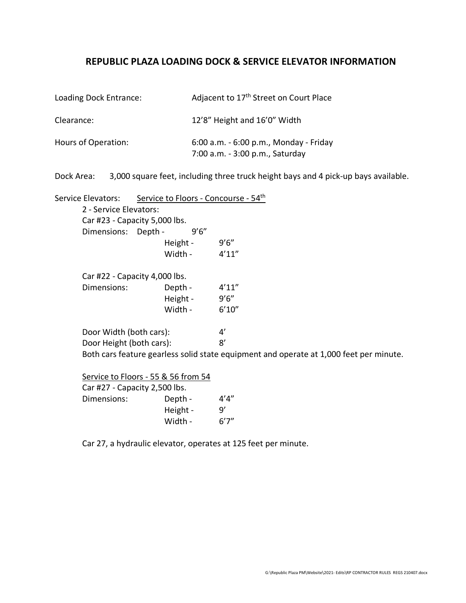# **REPUBLIC PLAZA LOADING DOCK & SERVICE ELEVATOR INFORMATION**

| Loading Dock Entrance: | Adjacent to 17 <sup>th</sup> Street on Court Place                        |
|------------------------|---------------------------------------------------------------------------|
| Clearance:             | 12'8" Height and 16'0" Width                                              |
| Hours of Operation:    | 6:00 a.m. - 6:00 p.m., Monday - Friday<br>7:00 a.m. - 3:00 p.m., Saturday |

Dock Area: 3,000 square feet, including three truck height bays and 4 pick-up bays available.

Service Elevators: Service to Floors - Concourse - 54<sup>th</sup> 2 - Service Elevators: Car #23 - Capacity 5,000 lbs. Dimensions: Depth - 9'6" Height - 9'6" Width - 4'11" Car #22 - Capacity 4,000 lbs. Dimensions: Depth - 4'11" Height - 9'6" Width - 6'10" Door Width (both cars): 4' Door Height (both cars): 8' Both cars feature gearless solid state equipment and operate at 1,000 feet per minute.

| Service to Floors - 55 & 56 from 54 |       |
|-------------------------------------|-------|
| Car #27 - Capacity 2,500 lbs.       |       |
| Depth -                             | 4'4"  |
| Height -                            | q'    |
| Width -                             | 6'7'' |
|                                     |       |

Car 27, a hydraulic elevator, operates at 125 feet per minute.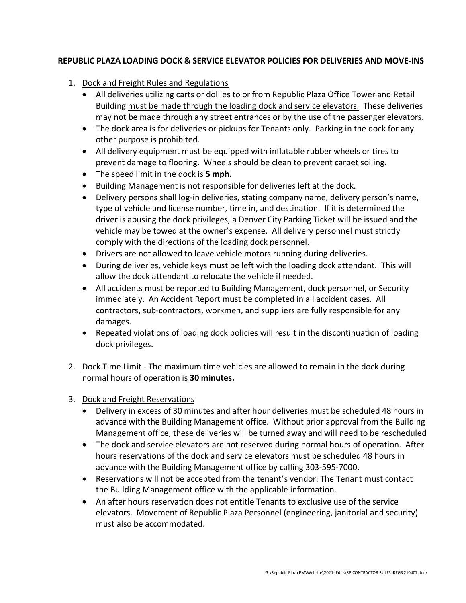# **REPUBLIC PLAZA LOADING DOCK & SERVICE ELEVATOR POLICIES FOR DELIVERIES AND MOVE-INS**

- 1. Dock and Freight Rules and Regulations
	- All deliveries utilizing carts or dollies to or from Republic Plaza Office Tower and Retail Building must be made through the loading dock and service elevators. These deliveries may not be made through any street entrances or by the use of the passenger elevators.
	- The dock area is for deliveries or pickups for Tenants only. Parking in the dock for any other purpose is prohibited.
	- All delivery equipment must be equipped with inflatable rubber wheels or tires to prevent damage to flooring. Wheels should be clean to prevent carpet soiling.
	- The speed limit in the dock is **5 mph.**
	- Building Management is not responsible for deliveries left at the dock.
	- Delivery persons shall log-in deliveries, stating company name, delivery person's name, type of vehicle and license number, time in, and destination. If it is determined the driver is abusing the dock privileges, a Denver City Parking Ticket will be issued and the vehicle may be towed at the owner's expense. All delivery personnel must strictly comply with the directions of the loading dock personnel.
	- Drivers are not allowed to leave vehicle motors running during deliveries.
	- During deliveries, vehicle keys must be left with the loading dock attendant. This will allow the dock attendant to relocate the vehicle if needed.
	- All accidents must be reported to Building Management, dock personnel, or Security immediately. An Accident Report must be completed in all accident cases. All contractors, sub-contractors, workmen, and suppliers are fully responsible for any damages.
	- Repeated violations of loading dock policies will result in the discontinuation of loading dock privileges.
- 2. Dock Time Limit The maximum time vehicles are allowed to remain in the dock during normal hours of operation is **30 minutes.**
- 3. Dock and Freight Reservations
	- Delivery in excess of 30 minutes and after hour deliveries must be scheduled 48 hours in advance with the Building Management office. Without prior approval from the Building Management office, these deliveries will be turned away and will need to be rescheduled
	- The dock and service elevators are not reserved during normal hours of operation. After hours reservations of the dock and service elevators must be scheduled 48 hours in advance with the Building Management office by calling 303-595-7000.
	- Reservations will not be accepted from the tenant's vendor: The Tenant must contact the Building Management office with the applicable information.
	- An after hours reservation does not entitle Tenants to exclusive use of the service elevators. Movement of Republic Plaza Personnel (engineering, janitorial and security) must also be accommodated.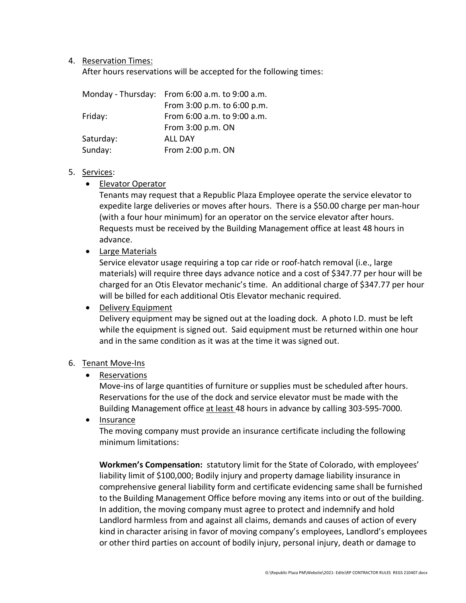### 4. Reservation Times:

After hours reservations will be accepted for the following times:

|           | Monday - Thursday: From 6:00 a.m. to 9:00 a.m. |
|-----------|------------------------------------------------|
|           | From 3:00 p.m. to 6:00 p.m.                    |
| Friday:   | From 6:00 a.m. to 9:00 a.m.                    |
|           | From 3:00 p.m. ON                              |
| Saturday: | ALL DAY                                        |
| Sunday:   | From 2:00 p.m. ON                              |

#### 5. Services:

• Elevator Operator

Tenants may request that a Republic Plaza Employee operate the service elevator to expedite large deliveries or moves after hours. There is a \$50.00 charge per man-hour (with a four hour minimum) for an operator on the service elevator after hours. Requests must be received by the Building Management office at least 48 hours in advance.

• Large Materials

Service elevator usage requiring a top car ride or roof-hatch removal (i.e., large materials) will require three days advance notice and a cost of \$347.77 per hour will be charged for an Otis Elevator mechanic's time. An additional charge of \$347.77 per hour will be billed for each additional Otis Elevator mechanic required.

### • Delivery Equipment

Delivery equipment may be signed out at the loading dock. A photo I.D. must be left while the equipment is signed out. Said equipment must be returned within one hour and in the same condition as it was at the time it was signed out.

### 6. Tenant Move-Ins

• Reservations

Move-ins of large quantities of furniture or supplies must be scheduled after hours. Reservations for the use of the dock and service elevator must be made with the Building Management office at least 48 hours in advance by calling 303-595-7000.

• Insurance

The moving company must provide an insurance certificate including the following minimum limitations:

**Workmen's Compensation:** statutory limit for the State of Colorado, with employees' liability limit of \$100,000; Bodily injury and property damage liability insurance in comprehensive general liability form and certificate evidencing same shall be furnished to the Building Management Office before moving any items into or out of the building. In addition, the moving company must agree to protect and indemnify and hold Landlord harmless from and against all claims, demands and causes of action of every kind in character arising in favor of moving company's employees, Landlord's employees or other third parties on account of bodily injury, personal injury, death or damage to